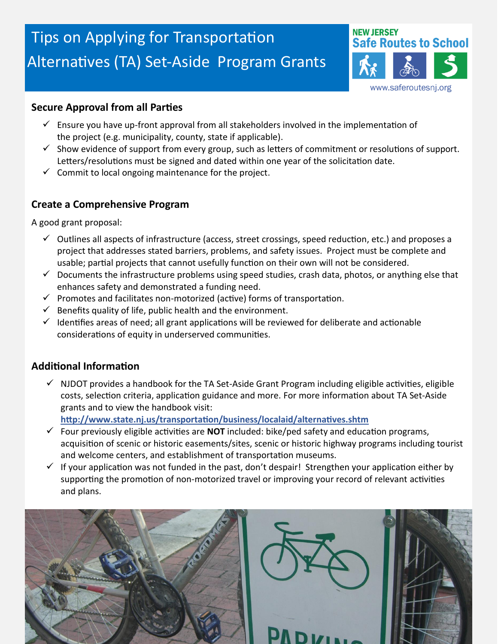# Tips on Applying for Transportation Alternatives (TA) Set-Aside Program Grants



#### **Secure Approval from all Parties**

- $\checkmark$  Ensure you have up-front approval from all stakeholders involved in the implementation of the project (e.g. municipality, county, state if applicable).
- $\checkmark$  Show evidence of support from every group, such as letters of commitment or resolutions of support. Letters/resolutions must be signed and dated within one year of the solicitation date.
- $\checkmark$  Commit to local ongoing maintenance for the project.

#### **Create a Comprehensive Program**

A good grant proposal:

- $\checkmark$  Outlines all aspects of infrastructure (access, street crossings, speed reduction, etc.) and proposes a project that addresses stated barriers, problems, and safety issues. Project must be complete and usable; partial projects that cannot usefully function on their own will not be considered.
- $\checkmark$  Documents the infrastructure problems using speed studies, crash data, photos, or anything else that enhances safety and demonstrated a funding need.
- $\checkmark$  Promotes and facilitates non-motorized (active) forms of transportation.
- $\checkmark$  Benefits quality of life, public health and the environment.
- $\checkmark$  Identifies areas of need; all grant applications will be reviewed for deliberate and actionable considerations of equity in underserved communities.

### **Additional Information**

 $\checkmark$  NJDOT provides a handbook for the TA Set-Aside Grant Program including eligible activities, eligible costs, selection criteria, application guidance and more. For more information about TA Set-Aside grants and to view the handbook visit:

**http://www.state.nj.us/transportation/business/localaid/alternatives.shtm**

- $\checkmark$  Four previously eligible activities are **NOT** included: bike/ped safety and education programs, acquisition of scenic or historic easements/sites, scenic or historic highway programs including tourist and welcome centers, and establishment of transportation museums.
- $\checkmark$  If your application was not funded in the past, don't despair! Strengthen your application either by supporting the promotion of non-motorized travel or improving your record of relevant activities and plans.